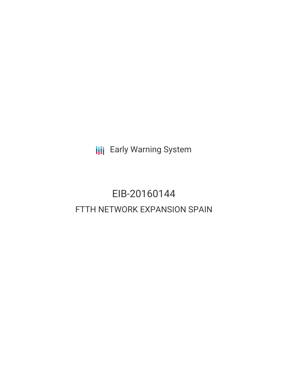**III** Early Warning System

## EIB-20160144 FTTH NETWORK EXPANSION SPAIN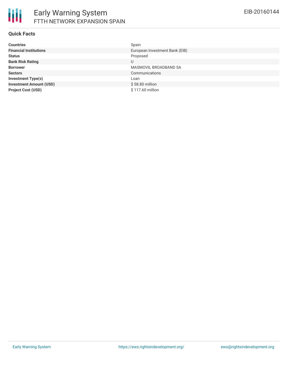

| <b>Countries</b>               | Spain                          |
|--------------------------------|--------------------------------|
| <b>Financial Institutions</b>  | European Investment Bank (EIB) |
| <b>Status</b>                  | Proposed                       |
| <b>Bank Risk Rating</b>        | U                              |
| <b>Borrower</b>                | MASMOVIL BROADBAND SA          |
| <b>Sectors</b>                 | Communications                 |
| <b>Investment Type(s)</b>      | Loan                           |
| <b>Investment Amount (USD)</b> | \$58.80 million                |
| <b>Project Cost (USD)</b>      | \$117.60 million               |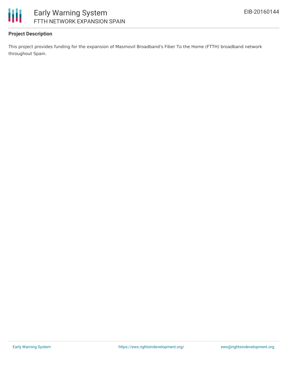

### **Project Description**

This project provides funding for the expansion of Masmovil Broadband's Fiber To the Home (FTTH) broadband network throughout Spain.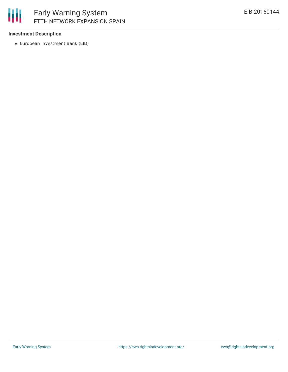### 冊 Early Warning System FTTH NETWORK EXPANSION SPAIN

### **Investment Description**

European Investment Bank (EIB)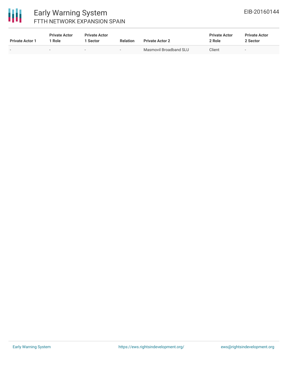# 冊

### Early Warning System FTTH NETWORK EXPANSION SPAIN

| <b>Private Actor 1</b> | <b>Private Actor</b><br>' Role | <b>Private Actor</b><br>1 Sector | <b>Relation</b> | <b>Private Actor 2</b> | <b>Private Actor</b><br>2 Role | <b>Private Actor</b><br>2 Sector |
|------------------------|--------------------------------|----------------------------------|-----------------|------------------------|--------------------------------|----------------------------------|
| $\sim$                 |                                | <b>CONT</b>                      | . .             | Masmovil Broadband SLU | Client                         | $\overline{\phantom{a}}$         |